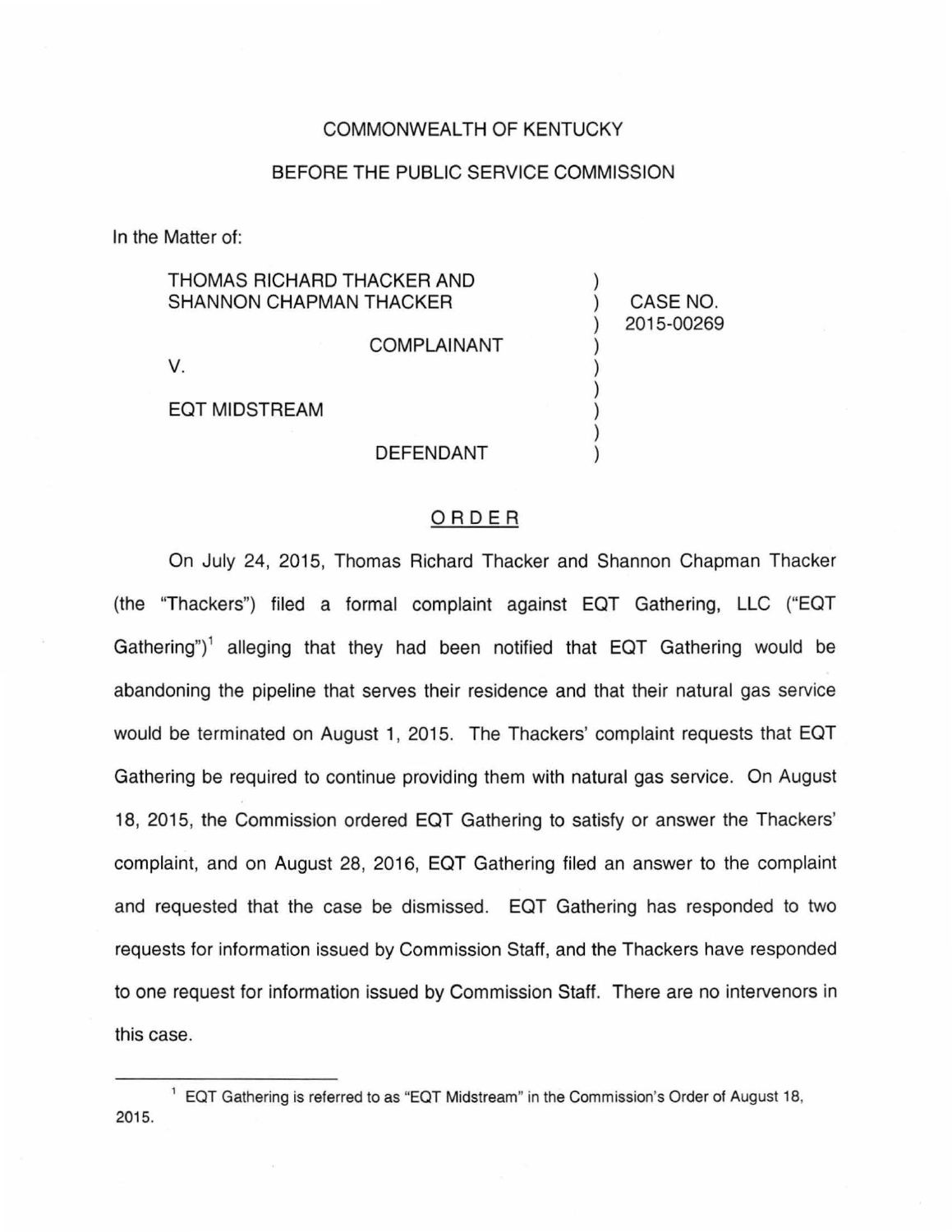### COMMONWEALTH OF KENTUCKY

## BEFORE THE PUBLIC SERVICE COMMISSION

)

) ) ) ) ) )

) CASE NO. ) 2015-00269

In the Matter of:

# THOMAS RICHARD THACKER AND SHANNON CHAPMAN THACKER

V.

EQT MIDSTREAM

#### DEFENDANT

COMPLAINANT

## ORDER

On July 24, 2015, Thomas Richard Thacker and Shannon Chapman Thacker (the "Thackers") filed a formal complaint against EQT Gathering, LLC ("EQT Gathering")<sup>1</sup> alleging that they had been notified that EQT Gathering would be abandoning the pipeline that serves their residence and that their natural gas service would be terminated on August 1, 2015. The Thackers' complaint requests that EQT Gathering be required to continue providing them with natural gas service. On August 18, 2015, the Commission ordered EQT Gathering to satisfy or answer the Thackers' complaint, and on August 28, 2016, EQT Gathering filed an answer to the complaint and requested that the case be dismissed. EQT Gathering has responded to two requests for information issued by Commission Staff, and the Thackers have responded to one request for information issued by Commission Staff. There are no intervenors in this case.

<sup>&</sup>lt;sup>1</sup> EQT Gathering is referred to as "EQT Midstream" in the Commission's Order of August 18, 2015.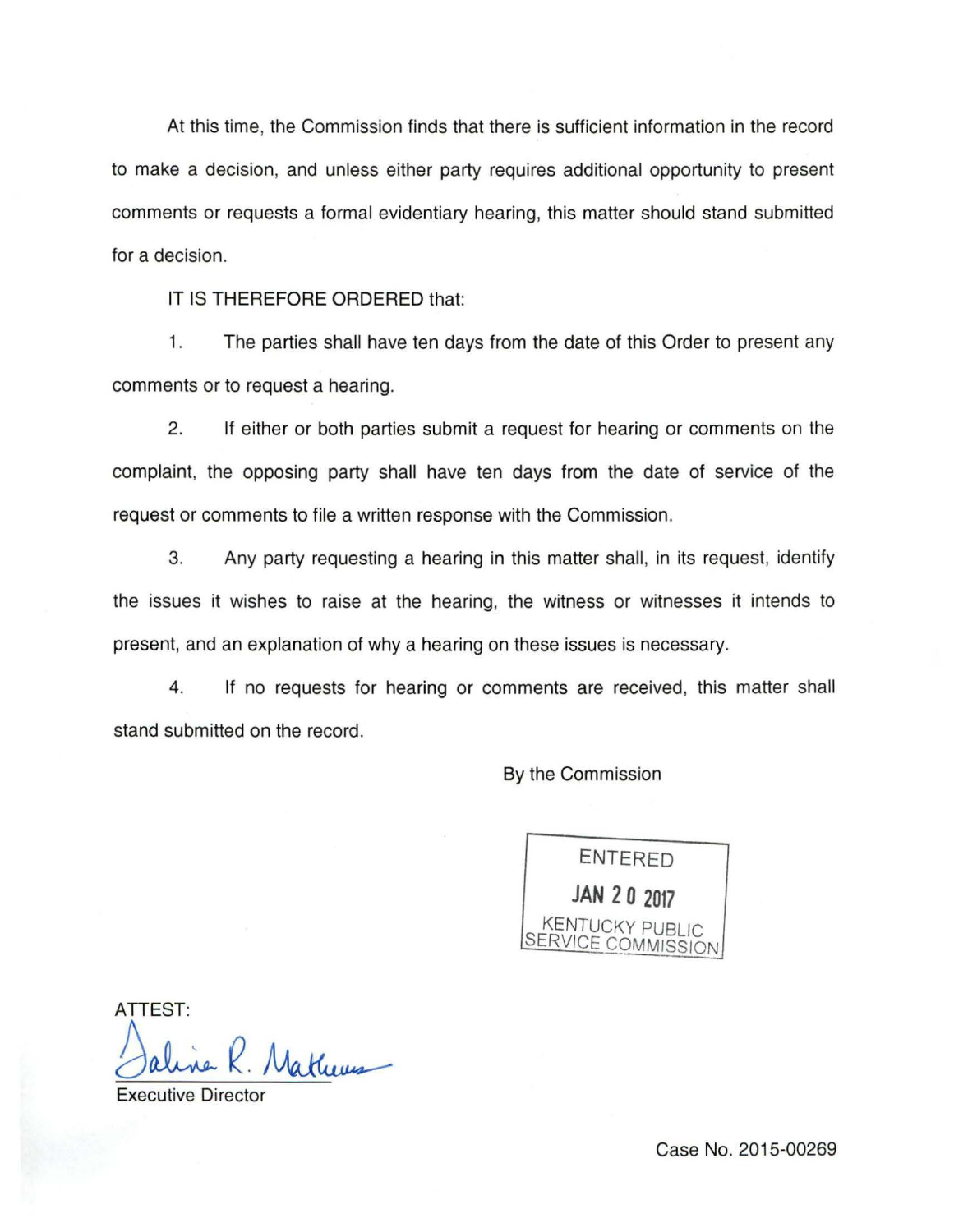At this time, the Commission finds that there is sufficient information in the record to make a decision, and unless either party requires additional opportunity to present comments or requests a formal evidentiary hearing, this matter should stand submitted for a decision.

IT IS THEREFORE ORDERED that:

1. The parties shall have ten days from the date of this Order to present any comments or to request a hearing.

2. If either or both parties submit a request for hearing or comments on the complaint, the opposing party shall have ten days from the date of service of the request or comments to file a written response with the Commission.

3. Any party requesting a hearing in this matter shall, in its request, identify the issues it wishes to raise at the hearing, the witness or witnesses it intends to present, and an explanation of why a hearing on these issues is necessary.

4. If no requests for hearing or comments are received, this matter shall stand submitted on the record.

By the Commission



ATTEST: /jMathems

**Executive Director** 

Case No. 2015-00269